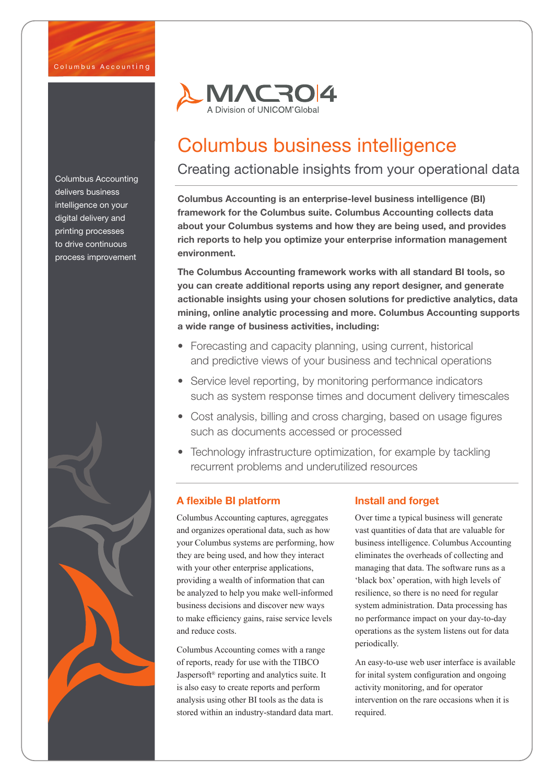Columbus Accounting delivers business intelligence on your digital delivery and printing processes to drive continuous process improvement





# Columbus business intelligence

# Creating actionable insights from your operational data

Columbus Accounting is an enterprise-level business intelligence (BI) framework for the Columbus suite. Columbus Accounting collects data about your Columbus systems and how they are being used, and provides rich reports to help you optimize your enterprise information management environment.

The Columbus Accounting framework works with all standard BI tools, so you can create additional reports using any report designer, and generate actionable insights using your chosen solutions for predictive analytics, data mining, online analytic processing and more. Columbus Accounting supports a wide range of business activities, including:

- Forecasting and capacity planning, using current, historical and predictive views of your business and technical operations
- Service level reporting, by monitoring performance indicators such as system response times and document delivery timescales
- Cost analysis, billing and cross charging, based on usage figures such as documents accessed or processed
- Technology infrastructure optimization, for example by tackling recurrent problems and underutilized resources

## A flexible BI platform

Columbus Accounting captures, agreggates and organizes operational data, such as how your Columbus systems are performing, how they are being used, and how they interact with your other enterprise applications, providing a wealth of information that can be analyzed to help you make well-informed business decisions and discover new ways to make efficiency gains, raise service levels and reduce costs.

Columbus Accounting comes with a range of reports, ready for use with the TIBCO Jaspersoft® reporting and analytics suite. It is also easy to create reports and perform analysis using other BI tools as the data is stored within an industry-standard data mart.

## Install and forget

Over time a typical business will generate vast quantities of data that are valuable for business intelligence. Columbus Accounting eliminates the overheads of collecting and managing that data. The software runs as a 'black box' operation, with high levels of resilience, so there is no need for regular system administration. Data processing has no performance impact on your day-to-day operations as the system listens out for data periodically.

An easy-to-use web user interface is available for inital system configuration and ongoing activity monitoring, and for operator intervention on the rare occasions when it is required.